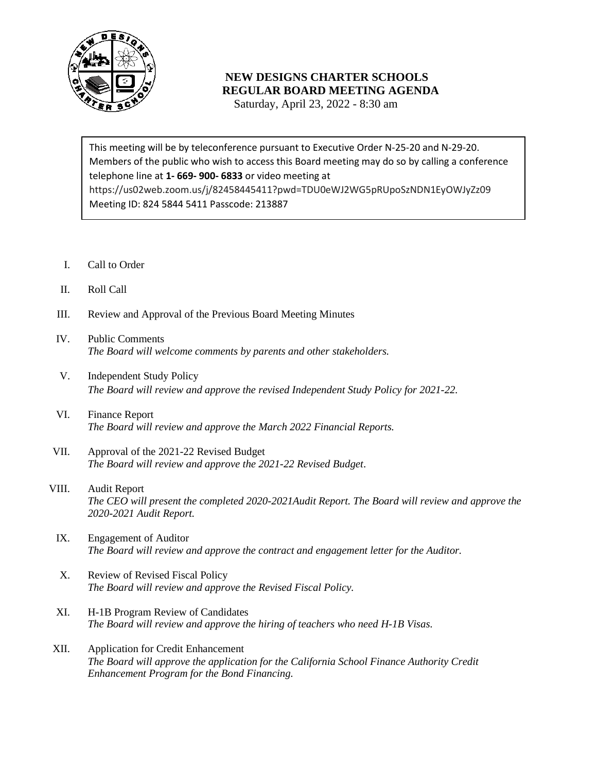

## **NEW DESIGNS CHARTER SCHOOLS REGULAR BOARD MEETING AGENDA**

Saturday, April 23, 2022 - 8:30 am

 Members of the public who wish to access this Board meeting may do so by calling a conference telephone line at **1- 669- 900- 6833** or video meeting at This meeting will be by teleconference pursuant to Executive Order N-25-20 and N-29-20. https://us02web.zoom.us/j/82458445411?pwd=TDU0eWJ2WG5pRUpoSzNDN1EyOWJyZz09 Meeting ID: 824 5844 5411 Passcode: 213887

- I. Call to Order
- II. Roll Call
- III. Review and Approval of the Previous Board Meeting Minutes
- IV. Public Comments *The Board will welcome comments by parents and other stakeholders.*
- V. Independent Study Policy *The Board will review and approve the revised Independent Study Policy for 2021-22.*
- VI. Finance Report *The Board will review and approve the March 2022 Financial Reports.*
- VII. Approval of the 2021-22 Revised Budget *The Board will review and approve the 2021-22 Revised Budget*.
- VIII. Audit Report *The CEO will present the completed 2020-2021Audit Report. The Board will review and approve the 2020-2021 Audit Report.*
	- IX. Engagement of Auditor *The Board will review and approve the contract and engagement letter for the Auditor.*
	- X. Review of Revised Fiscal Policy *The Board will review and approve the Revised Fiscal Policy.*
	- XI. H-1B Program Review of Candidates *The Board will review and approve the hiring of teachers who need H-1B Visas.*
- XII. Application for Credit Enhancement *The Board will approve the application for the California School Finance Authority Credit Enhancement Program for the Bond Financing.*